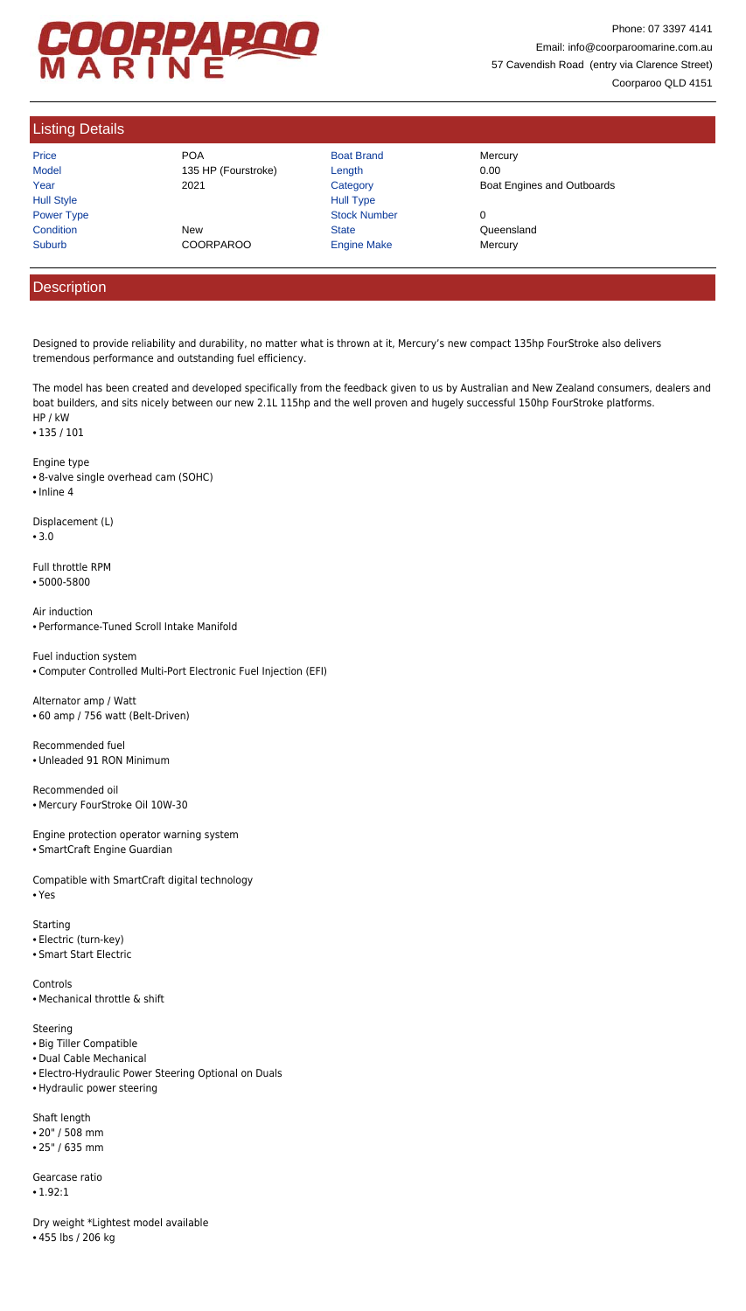# COORPAROO

Phone: 07 3397 4141 Email: info@coorparoomarine.com.au 57 Cavendish Road (entry via Clarence Street) Coorparoo QLD 4151

## Listing Details

| Price             |
|-------------------|
| Model             |
| Year              |
| <b>Hull Style</b> |
| <b>Power Type</b> |
| Condition         |
| Suburb            |

Price **Road Brand Mercury** POA **Boat Brand Mercury** 135 HP (Fourstroke) Length 0.00 Condition **New Realth Condition** Condition **Condition** Cueensland

Hull Type Power Type Stock Number 0 COORPAROO Engine Make Mercury

2021 Category Category Boat Engines and Outboards

### **Description**

Designed to provide reliability and durability, no matter what is thrown at it, Mercury's new compact 135hp FourStroke also delivers tremendous performance and outstanding fuel efficiency.

The model has been created and developed specifically from the feedback given to us by Australian and New Zealand consumers, dealers and boat builders, and sits nicely between our new 2.1L 115hp and the well proven and hugely successful 150hp FourStroke platforms. HP / kW

• 135 / 101

Engine type

- 8-valve single overhead cam (SOHC)
- Inline 4

Displacement (L)

• 3.0

Full throttle RPM

• 5000-5800

Air induction • Performance-Tuned Scroll Intake Manifold

Fuel induction system • Computer Controlled Multi-Port Electronic Fuel Injection (EFI)

Alternator amp / Watt • 60 amp / 756 watt (Belt-Driven)

Recommended fuel • Unleaded 91 RON Minimum

Recommended oil • Mercury FourStroke Oil 10W-30

Engine protection operator warning system

• SmartCraft Engine Guardian

Compatible with SmartCraft digital technology • Yes

Starting • Electric (turn-key)

- Smart Start Electric
- Controls
- Mechanical throttle & shift
- Steering
- Big Tiller Compatible
- Dual Cable Mechanical
- Electro-Hydraulic Power Steering Optional on Duals
- Hydraulic power steering
- Shaft length
- 20" / 508 mm
- 25" / 635 mm
- Gearcase ratio
- 1.92:1
- Dry weight \*Lightest model available • 455 lbs / 206 kg